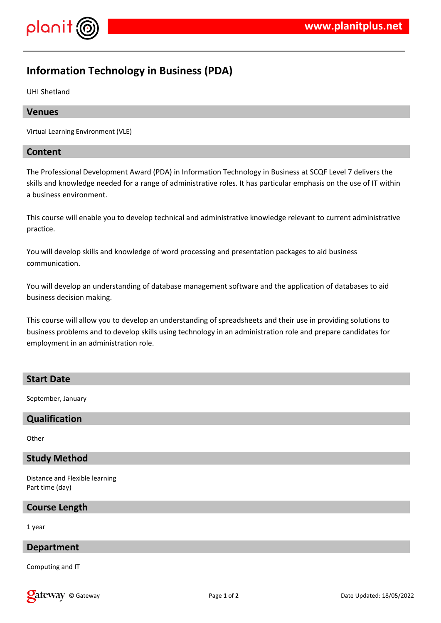

# **Information Technology in Business (PDA)**

UHI Shetland

### **Venues**

Virtual Learning Environment (VLE)

### **Content**

The Professional Development Award (PDA) in Information Technology in Business at SCQF Level 7 delivers the skills and knowledge needed for a range of administrative roles. It has particular emphasis on the use of IT within a business environment.

This course will enable you to develop technical and administrative knowledge relevant to current administrative practice.

You will develop skills and knowledge of word processing and presentation packages to aid business communication.

You will develop an understanding of database management software and the application of databases to aid business decision making.

This course will allow you to develop an understanding of spreadsheets and their use in providing solutions to business problems and to develop skills using technology in an administration role and prepare candidates for employment in an administration role.

### **Start Date**

September, January

# **Qualification**

**Other** 

### **Study Method**

Distance and Flexible learning Part time (day)

### **Course Length**

1 year

## **Department**

Computing and IT